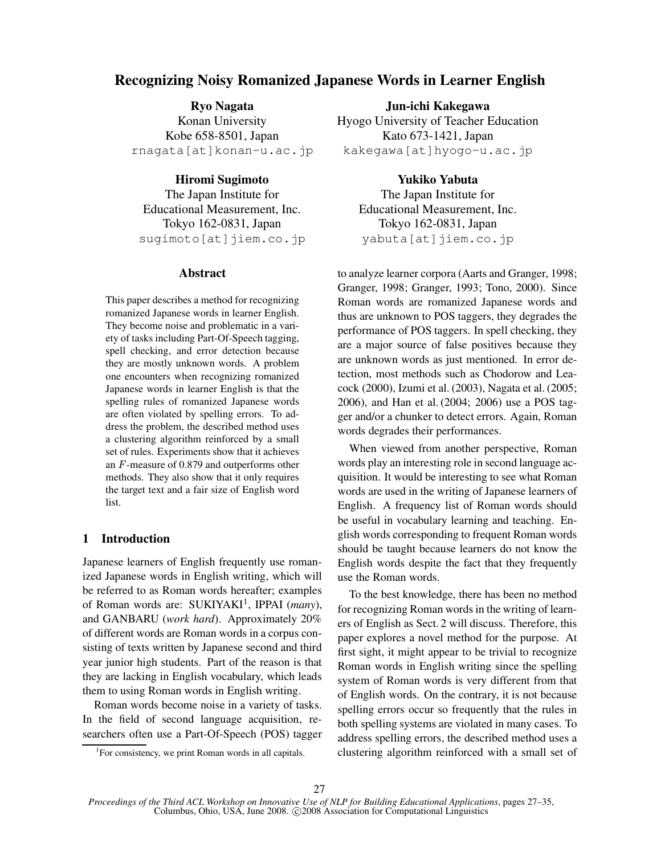# **Recognizing Noisy Romanized Japanese Words in Learner English**

**Ryo Nagata** Konan University Kobe 658-8501, Japan rnagata[at]konan-u.ac.jp

**Hiromi Sugimoto** The Japan Institute for Educational Measurement, Inc. Tokyo 162-0831, Japan sugimoto[at]jiem.co.jp

### **Abstract**

This paper describes a method for recognizing romanized Japanese words in learner English. They become noise and problematic in a variety of tasks including Part-Of-Speech tagging, spell checking, and error detection because they are mostly unknown words. A problem one encounters when recognizing romanized Japanese words in learner English is that the spelling rules of romanized Japanese words are often violated by spelling errors. To address the problem, the described method uses a clustering algorithm reinforced by a small set of rules. Experiments show that it achieves an  $F$ -measure of 0.879 and outperforms other methods. They also show that it only requires the target text and a fair size of English word list.

## **1 Introduction**

Japanese learners of English frequently use romanized Japanese words in English writing, which will be referred to as Roman words hereafter; examples of Roman words are: SUKIYAKI<sup>1</sup>, IPPAI (many), and GANBARU (*work hard*). Approximately 20% of different words are Roman words in a corpus consisting of texts written by Japanese second and third year junior high students. Part of the reason is that they are lacking in English vocabulary, which leads them to using Roman words in English writing.

Roman words become noise in a variety of tasks. In the field of second language acquisition, researchers often use a Part-Of-Speech (POS) tagger

**Jun-ichi Kakegawa** Hyogo University of Teacher Education Kato 673-1421, Japan kakegawa[at]hyogo-u.ac.jp

> **Yukiko Yabuta** The Japan Institute for Educational Measurement, Inc. Tokyo 162-0831, Japan yabuta[at]jiem.co.jp

to analyze learner corpora (Aarts and Granger, 1998; Granger, 1998; Granger, 1993; Tono, 2000). Since Roman words are romanized Japanese words and thus are unknown to POS taggers, they degrades the performance of POS taggers. In spell checking, they are a major source of false positives because they are unknown words as just mentioned. In error detection, most methods such as Chodorow and Leacock (2000), Izumi et al. (2003), Nagata et al. (2005; 2006), and Han et al. (2004; 2006) use a POS tagger and/or a chunker to detect errors. Again, Roman words degrades their performances.

When viewed from another perspective, Roman words play an interesting role in second language acquisition. It would be interesting to see what Roman words are used in the writing of Japanese learners of English. A frequency list of Roman words should be useful in vocabulary learning and teaching. English words corresponding to frequent Roman words should be taught because learners do not know the English words despite the fact that they frequently use the Roman words.

To the best knowledge, there has been no method for recognizing Roman words in the writing of learners of English as Sect. 2 will discuss. Therefore, this paper explores a novel method for the purpose. At first sight, it might appear to be trivial to recognize Roman words in English writing since the spelling system of Roman words is very different from that of English words. On the contrary, it is not because spelling errors occur so frequently that the rules in both spelling systems are violated in many cases. To address spelling errors, the described method uses a clustering algorithm reinforced with a small set of

<sup>&</sup>lt;sup>1</sup>For consistency, we print Roman words in all capitals.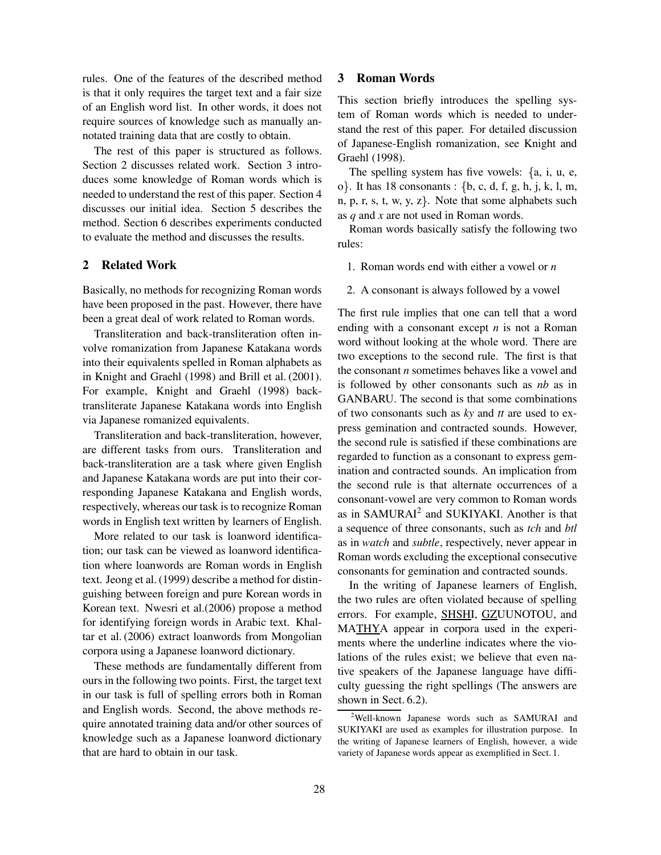rules. One of the features of the described method is that it only requires the target text and a fair size of an English word list. In other words, it does not require sources of knowledge such as manually annotated training data that are costly to obtain.

The rest of this paper is structured as follows. Section 2 discusses related work. Section 3 introduces some knowledge of Roman words which is needed to understand the rest of this paper. Section 4 discusses our initial idea. Section 5 describes the method. Section 6 describes experiments conducted to evaluate the method and discusses the results.

### **2 Related Work**

Basically, no methods for recognizing Roman words have been proposed in the past. However, there have been a great deal of work related to Roman words.

Transliteration and back-transliteration often involve romanization from Japanese Katakana words into their equivalents spelled in Roman alphabets as in Knight and Graehl (1998) and Brill et al. (2001). For example, Knight and Graehl (1998) backtransliterate Japanese Katakana words into English via Japanese romanized equivalents.

Transliteration and back-transliteration, however, are different tasks from ours. Transliteration and back-transliteration are a task where given English and Japanese Katakana words are put into their corresponding Japanese Katakana and English words, respectively, whereas our task is to recognize Roman words in English text written by learners of English.

More related to our task is loanword identification; our task can be viewed as loanword identification where loanwords are Roman words in English text. Jeong et al. (1999) describe a method for distinguishing between foreign and pure Korean words in Korean text. Nwesri et al.(2006) propose a method for identifying foreign words in Arabic text. Khaltar et al. (2006) extract loanwords from Mongolian corpora using a Japanese loanword dictionary.

These methods are fundamentally different from ours in the following two points. First, the target text in our task is full of spelling errors both in Roman and English words. Second, the above methods require annotated training data and/or other sources of knowledge such as a Japanese loanword dictionary that are hard to obtain in our task.

## **3 Roman Words**

This section briefly introduces the spelling system of Roman words which is needed to understand the rest of this paper. For detailed discussion of Japanese-English romanization, see Knight and Graehl (1998).

The spelling system has five vowels:  $\{a, i, u, e,$  $o$ . It has 18 consonants :  $\{b, c, d, f, g, h, j, k, l, m, c\}$  $n, p, r, s, t, w, y, z$ . Note that some alphabets such as *q* and *x* are not used in Roman words.

Roman words basically satisfy the following two rules:

- 1. Roman words end with either a vowel or *n*
- 2. A consonant is always followed by a vowel

The first rule implies that one can tell that a word ending with a consonant except *n* is not a Roman word without looking at the whole word. There are two exceptions to the second rule. The first is that the consonant *n* sometimes behaves like a vowel and is followed by other consonants such as *nb* as in GANBARU. The second is that some combinations of two consonants such as *ky* and *tt* are used to express gemination and contracted sounds. However, the second rule is satisfied if these combinations are regarded to function as a consonant to express gemination and contracted sounds. An implication from the second rule is that alternate occurrences of a consonant-vowel are very common to Roman words as in SAMURAI<sup>2</sup> and SUKIYAKI. Another is that a sequence of three consonants, such as *tch* and *btl* as in *watch* and *subtle*, respectively, never appear in Roman words excluding the exceptional consecutive consonants for gemination and contracted sounds.

In the writing of Japanese learners of English, the two rules are often violated because of spelling errors. For example, SHSHI, GZUUNOTOU, and MATHYA appear in corpora used in the experiments where the underline indicates where the violations of the rules exist; we believe that even native speakers of the Japanese language have difficulty guessing the right spellings (The answers are shown in Sect. 6.2).

<sup>2</sup>Well-known Japanese words such as SAMURAI and SUKIYAKI are used as examples for illustration purpose. In the writing of Japanese learners of English, however, a wide variety of Japanese words appear as exemplified in Sect. 1.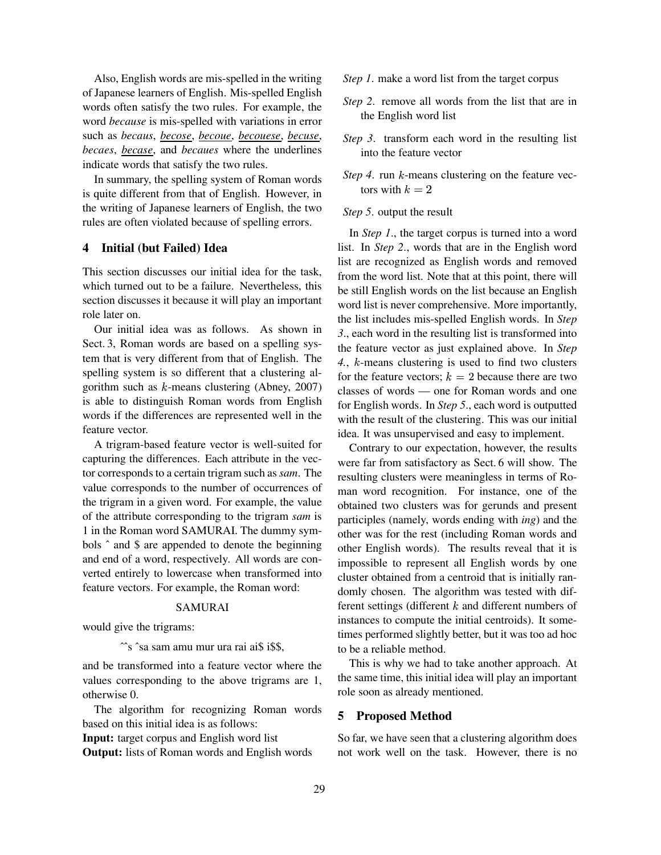Also, English words are mis-spelled in the writing of Japanese learners of English. Mis-spelled English words often satisfy the two rules. For example, the word *because* is mis-spelled with variations in error such as *becaus*, *becose*, *becoue*, *becouese*, *becuse*, *becaes*, *becase*, and *becaues* where the underlines indicate words that satisfy the two rules.

In summary, the spelling system of Roman words is quite different from that of English. However, in the writing of Japanese learners of English, the two rules are often violated because of spelling errors.

## **4 Initial (but Failed) Idea**

This section discusses our initial idea for the task, which turned out to be a failure. Nevertheless, this section discusses it because it will play an important role later on.

Our initial idea was as follows. As shown in Sect. 3, Roman words are based on a spelling system that is very different from that of English. The spelling system is so different that a clustering algorithm such as  $k$ -means clustering (Abney, 2007) is able to distinguish Roman words from English words if the differences are represented well in the feature vector.

A trigram-based feature vector is well-suited for capturing the differences. Each attribute in the vector corresponds to a certain trigram such as *sam*. The value corresponds to the number of occurrences of the trigram in a given word. For example, the value of the attribute corresponding to the trigram *sam* is 1 in the Roman word SAMURAI. The dummy symbols ˆ and \$ are appended to denote the beginning and end of a word, respectively. All words are converted entirely to lowercase when transformed into feature vectors. For example, the Roman word:

# SAMURAI

would give the trigrams:

ˆˆs ˆsa sam amu mur ura rai ai\$ i\$\$,

and be transformed into a feature vector where the values corresponding to the above trigrams are 1, otherwise 0.

The algorithm for recognizing Roman words based on this initial idea is as follows:

**Input:** target corpus and English word list

**Output:** lists of Roman words and English words

- *Step 1*. make a word list from the target corpus
- *Step 2*. remove all words from the list that are in the English word list
- *Step 3*. transform each word in the resulting list into the feature vector
- *Step* 4. run  $k$ -means clustering on the feature vectors with  $k = 2$
- *Step 5*. output the result

In *Step 1*., the target corpus is turned into a word list. In *Step 2*., words that are in the English word list are recognized as English words and removed from the word list. Note that at this point, there will be still English words on the list because an English word list is never comprehensive. More importantly, the list includes mis-spelled English words. In *Step 3*., each word in the resulting list is transformed into the feature vector as just explained above. In *Step* 4., *k*-means clustering is used to find two clusters for the feature vectors;  $k = 2$  because there are two classes of words — one for Roman words and one for English words. In *Step 5*., each word is outputted with the result of the clustering. This was our initial idea. It was unsupervised and easy to implement.

Contrary to our expectation, however, the results were far from satisfactory as Sect. 6 will show. The resulting clusters were meaningless in terms of Roman word recognition. For instance, one of the obtained two clusters was for gerunds and present participles (namely, words ending with *ing*) and the other was for the rest (including Roman words and other English words). The results reveal that it is impossible to represent all English words by one cluster obtained from a centroid that is initially randomly chosen. The algorithm was tested with different settings (different  $k$  and different numbers of instances to compute the initial centroids). It sometimes performed slightly better, but it was too ad hoc to be a reliable method.

This is why we had to take another approach. At the same time, this initial idea will play an important role soon as already mentioned.

### **5 Proposed Method**

So far, we have seen that a clustering algorithm does not work well on the task. However, there is no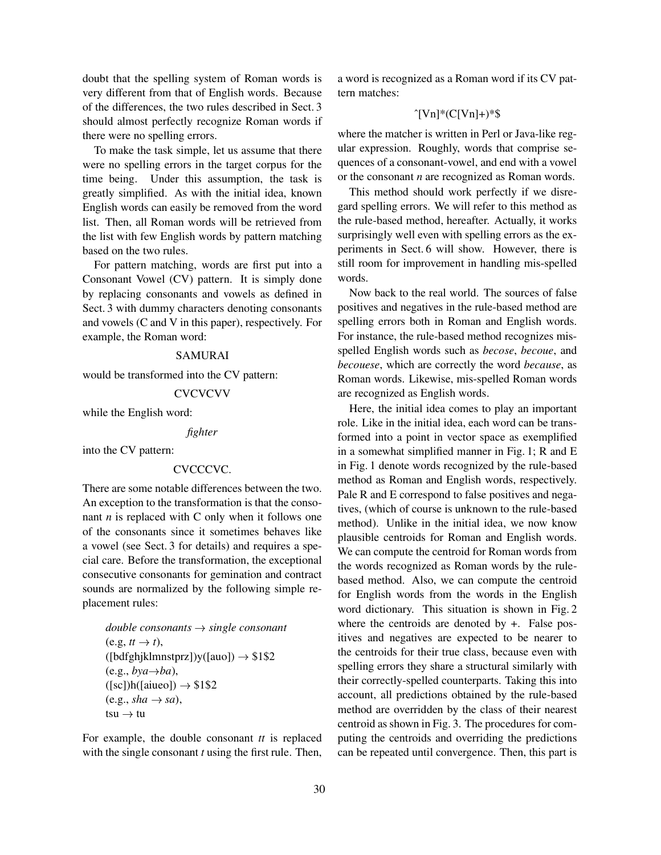doubt that the spelling system of Roman words is very different from that of English words. Because of the differences, the two rules described in Sect. 3 should almost perfectly recognize Roman words if there were no spelling errors.

To make the task simple, let us assume that there were no spelling errors in the target corpus for the time being. Under this assumption, the task is greatly simplified. As with the initial idea, known English words can easily be removed from the word list. Then, all Roman words will be retrieved from the list with few English words by pattern matching based on the two rules.

For pattern matching, words are first put into a Consonant Vowel (CV) pattern. It is simply done by replacing consonants and vowels as defined in Sect. 3 with dummy characters denoting consonants and vowels (C and V in this paper), respectively. For example, the Roman word:

## SAMURAI

would be transformed into the CV pattern:

#### **CVCVCVV**

while the English word:

#### *fighter*

into the CV pattern:

#### CVCCCVC.

There are some notable differences between the two. An exception to the transformation is that the consonant *n* is replaced with C only when it follows one of the consonants since it sometimes behaves like a vowel (see Sect. 3 for details) and requires a special care. Before the transformation, the exceptional consecutive consonants for gemination and contract sounds are normalized by the following simple replacement rules:

```
double consonants 
 single consonant
(e.g, tt \rightarrow t), t),
([bdfghjklmnstprz])y([auo]) \rightarrow $1$2(e.g., by a \rightarrow ba),
([sc])h([a\text{iueo}]) \rightarrow $1$2(e.g., sha \rightarrow sa),tsu \rightarrow tu tu
```
For example, the double consonant *tt* is replaced with the single consonant *t* using the first rule. Then,

a word is recognized as a Roman word if its CV pattern matches:

## $\Upsilon$ [Vn]\*(C[Vn]+)\*\$

where the matcher is written in Perl or Java-like regular expression. Roughly, words that comprise sequences of a consonant-vowel, and end with a vowel or the consonant *n* are recognized as Roman words.

This method should work perfectly if we disregard spelling errors. We will refer to this method as the rule-based method, hereafter. Actually, it works surprisingly well even with spelling errors as the experiments in Sect. 6 will show. However, there is still room for improvement in handling mis-spelled words.

Now back to the real world. The sources of false positives and negatives in the rule-based method are spelling errors both in Roman and English words. For instance, the rule-based method recognizes misspelled English words such as *becose*, *becoue*, and *becouese*, which are correctly the word *because*, as Roman words. Likewise, mis-spelled Roman words are recognized as English words.

Here, the initial idea comes to play an important role. Like in the initial idea, each word can be transformed into a point in vector space as exemplified in a somewhat simplified manner in Fig. 1; R and E in Fig. 1 denote words recognized by the rule-based method as Roman and English words, respectively. Pale R and E correspond to false positives and negatives, (which of course is unknown to the rule-based method). Unlike in the initial idea, we now know plausible centroids for Roman and English words. We can compute the centroid for Roman words from the words recognized as Roman words by the rulebased method. Also, we can compute the centroid for English words from the words in the English word dictionary. This situation is shown in Fig. 2 where the centroids are denoted by  $+$ . False positives and negatives are expected to be nearer to the centroids for their true class, because even with spelling errors they share a structural similarly with their correctly-spelled counterparts. Taking this into account, all predictions obtained by the rule-based method are overridden by the class of their nearest centroid as shown in Fig. 3. The procedures for computing the centroids and overriding the predictions can be repeated until convergence. Then, this part is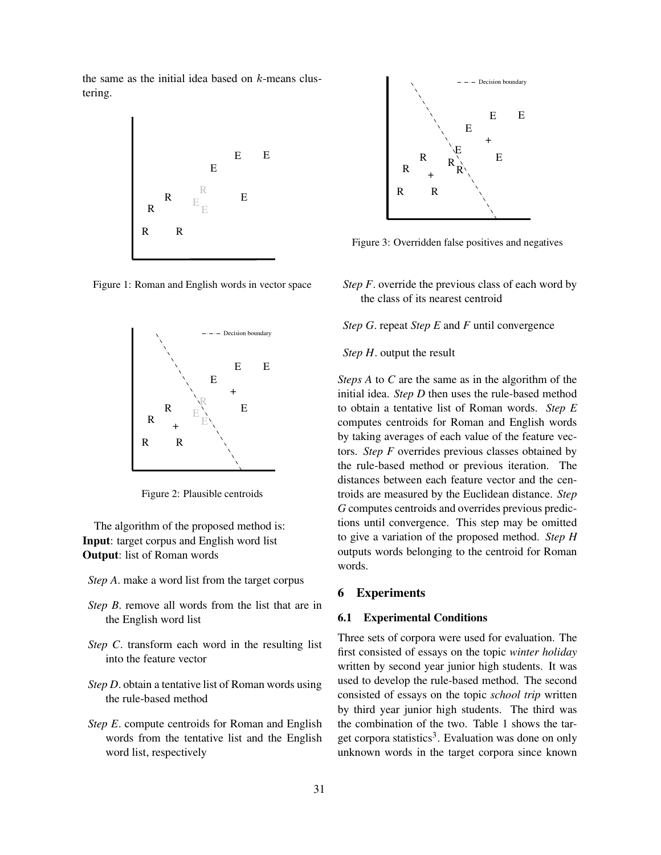the same as the initial idea based on  $k$ -means clustering.



Figure 1: Roman and English words in vector space



Figure 2: Plausible centroids

The algorithm of the proposed method is: **Input**: target corpus and English word list **Output**: list of Roman words

- *Step A*. make a word list from the target corpus
- *Step B*. remove all words from the list that are in the English word list
- *Step C*. transform each word in the resulting list into the feature vector
- *Step D*. obtain a tentative list of Roman words using the rule-based method
- *Step E*. compute centroids for Roman and English words from the tentative list and the English word list, respectively



Figure 3: Overridden false positives and negatives

*Step F*. override the previous class of each word by the class of its nearest centroid

*Step G*. repeat *Step E* and *F* until convergence

*Step H*. output the result

*Steps A* to *C* are the same as in the algorithm of the initial idea. *Step D* then uses the rule-based method to obtain a tentative list of Roman words. *Step E* computes centroids for Roman and English words by taking averages of each value of the feature vectors. *Step F* overrides previous classes obtained by the rule-based method or previous iteration. The distances between each feature vector and the centroids are measured by the Euclidean distance. *Step G* computes centroids and overrides previous predictions until convergence. This step may be omitted to give a variation of the proposed method. *Step H* outputs words belonging to the centroid for Roman words.

# **6 Experiments**

#### **6.1 Experimental Conditions**

Three sets of corpora were used for evaluation. The first consisted of essays on the topic *winter holiday* written by second year junior high students. It was used to develop the rule-based method. The second consisted of essays on the topic *school trip* written by third year junior high students. The third was the combination of the two. Table 1 shows the target corpora statistics<sup>3</sup>. Evaluation was done on only unknown words in the target corpora since known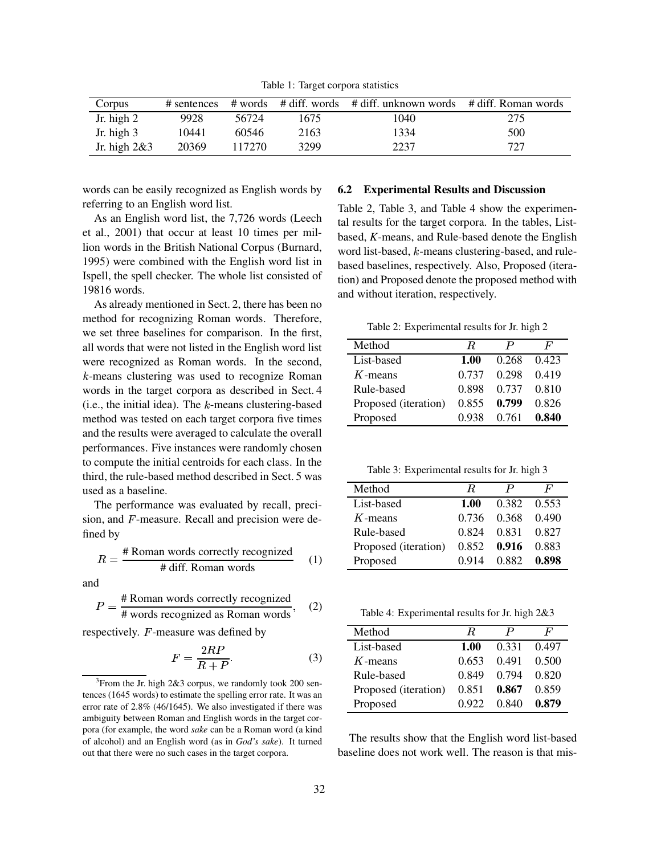Table 1: Target corpora statistics

| Corpus         |       |        |      | # sentences # words # diff. words # diff. unknown words # diff. Roman words |     |
|----------------|-------|--------|------|-----------------------------------------------------------------------------|-----|
| Jr. high $2$   | 9928  | 56724  | 1675 | 1040                                                                        | 275 |
| Jr. high $3$   | 10441 | 60546  | 2163 | 1334                                                                        | 500 |
| Jr. high $2&3$ | 20369 | 117270 | 3299 | 2237                                                                        | 727 |

words can be easily recognized as English words by referring to an English word list.

As an English word list, the 7,726 words (Leech et al., 2001) that occur at least 10 times per million words in the British National Corpus (Burnard, 1995) were combined with the English word list in Ispell, the spell checker. The whole list consisted of 19816 words.

As already mentioned in Sect. 2, there has been no method for recognizing Roman words. Therefore, we set three baselines for comparison. In the first, all words that were not listed in the English word list were recognized as Roman words. In the second,  $k$ -means clustering was used to recognize Roman words in the target corpora as described in Sect. 4  $(i.e., the initial idea).$  The  $k$ -means clustering-based method was tested on each target corpora five times and the results were averaged to calculate the overall performances. Five instances were randomly chosen to compute the initial centroids for each class. In the third, the rule-based method described in Sect. 5 was used as a baseline.

The performance was evaluated by recall, precision, and  $F$ -measure. Recall and precision were defined by

$$
R = \frac{\text{\# Roman words correctly recognized}}{\text{\# diff. Roman words}} \tag{1}
$$

and

$$
P = \frac{\text{# Roman words correctly recognized}}{\text{# words recognized as Roman words}}, \quad (2)
$$

respectively.  $F$ -measure was defined by

$$
F = \frac{2RP}{R + P}.\tag{3}
$$

 $3$ From the Jr. high 2&3 corpus, we randomly took 200 sentences (1645 words) to estimate the spelling error rate. It was an error rate of 2.8% (46/1645). We also investigated if there was ambiguity between Roman and English words in the target corpora (for example, the word *sake* can be a Roman word (a kind of alcohol) and an English word (as in *God's sake*). It turned out that there were no such cases in the target corpora.

#### **6.2 Experimental Results and Discussion**

Table 2, Table 3, and Table 4 show the experimental results for the target corpora. In the tables, Listbased, *K*-means, and Rule-based denote the English word list-based,  $k$ -means clustering-based, and rulebased baselines, respectively. Also, Proposed (iteration) and Proposed denote the proposed method with and without iteration, respectively.

Table 2: Experimental results for Jr. high 2

| Method               | R.   |                         | F |
|----------------------|------|-------------------------|---|
| List-based           | 1.00 | 0.268 0.423             |   |
| $K$ -means           |      | 0.737 0.298 0.419       |   |
| Rule-based           |      | 0.898 0.737 0.810       |   |
| Proposed (iteration) |      | $0.855$ 0.799 $0.826$   |   |
| Proposed             |      | $0.938$ $0.761$ $0.840$ |   |

Table 3: Experimental results for Jr. high 3

| Method               | R.    |                     | F |
|----------------------|-------|---------------------|---|
| List-based           | 1.00  | 0.382 0.553         |   |
| $K$ -means           |       | 0.736 0.368 0.490   |   |
| Rule-based           | 0.824 | 0.831 0.827         |   |
| Proposed (iteration) |       | $0.852$ 0.916 0.883 |   |
| Proposed             |       | 0.914 0.882 0.898   |   |

| Table 4: Experimental results for Jr. high 2&3 |  |  |  |  |  |
|------------------------------------------------|--|--|--|--|--|
|------------------------------------------------|--|--|--|--|--|

| Method               | R.    | P                       | F     |
|----------------------|-------|-------------------------|-------|
| List-based           | 1.00  | 0.331 0.497             |       |
| $K$ -means           | 0.653 | 0.491                   | 0.500 |
| Rule-based           | 0.849 | 0.794                   | 0.820 |
| Proposed (iteration) |       | $0.851$ $0.867$ $0.859$ |       |
| Proposed             | 0.922 | 0.840                   | 0.879 |

The results show that the English word list-based baseline does not work well. The reason is that mis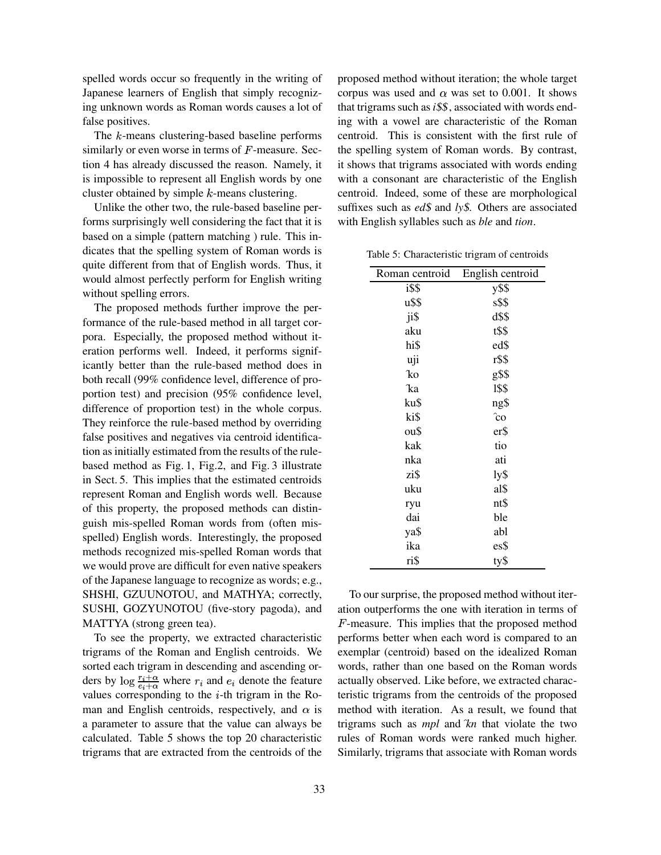spelled words occur so frequently in the writing of Japanese learners of English that simply recognizing unknown words as Roman words causes a lot of false positives.

The  $k$ -means clustering-based baseline performs similarly or even worse in terms of  $F$ -measure. Section 4 has already discussed the reason. Namely, it is impossible to represent all English words by one cluster obtained by simple  $k$ -means clustering.

Unlike the other two, the rule-based baseline performs surprisingly well considering the fact that it is based on a simple (pattern matching ) rule. This indicates that the spelling system of Roman words is quite different from that of English words. Thus, it would almost perfectly perform for English writing without spelling errors.

The proposed methods further improve the performance of the rule-based method in all target corpora. Especially, the proposed method without iteration performs well. Indeed, it performs significantly better than the rule-based method does in both recall (99% confidence level, difference of proportion test) and precision (95% confidence level, difference of proportion test) in the whole corpus. They reinforce the rule-based method by overriding false positives and negatives via centroid identification as initially estimated from the results of the rulebased method as Fig. 1, Fig.2, and Fig. 3 illustrate in Sect. 5. This implies that the estimated centroids represent Roman and English words well. Because of this property, the proposed methods can distinguish mis-spelled Roman words from (often misspelled) English words. Interestingly, the proposed methods recognized mis-spelled Roman words that we would prove are difficult for even native speakers of the Japanese language to recognize as words; e.g., SHSHI, GZUUNOTOU, and MATHYA; correctly, SUSHI, GOZYUNOTOU (five-story pagoda), and MATTYA (strong green tea).

To see the property, we extracted characteristic trigrams of the Roman and English centroids. We sorted each trigram in descending and ascending orders by  $\log \frac{r_i + \alpha}{e_i + \alpha}$  where  $r_i$  and  $e_i$  denote the feature values corresponding to the  $i$ -th trigram in the Roman and English centroids, respectively, and  $\alpha$  is a parameter to assure that the value can always be calculated. Table 5 shows the top 20 characteristic trigrams that are extracted from the centroids of the

proposed method without iteration; the whole target corpus was used and  $\alpha$  was set to 0.001. It shows that trigrams such as *i*\$\$, associated with words ending with a vowel are characteristic of the Roman centroid. This is consistent with the first rule of the spelling system of Roman words. By contrast, it shows that trigrams associated with words ending with a consonant are characteristic of the English centroid. Indeed, some of these are morphological suffixes such as *ed*\$ and *ly*\$. Others are associated with English syllables such as *ble* and *tion*.

Table 5: Characteristic trigram of centroids

| Roman centroid | English centroid |  |  |
|----------------|------------------|--|--|
| i\$\$          | y\$\$            |  |  |
| u\$\$          | s\$\$            |  |  |
| ji\$           | d\$\$            |  |  |
| aku            | t\$\$            |  |  |
| hi\$           | ed\$             |  |  |
| uji            | r\$\$            |  |  |
| ko             | g\$\$            |  |  |
| ka             | 1\$\$            |  |  |
| ku\$           | ng\$             |  |  |
| ki\$           | $\hat{c}$ o      |  |  |
| ou\$           | er\$             |  |  |
| kak            | tio              |  |  |
| nka            | ati              |  |  |
| zi\$           | ly\$             |  |  |
| uku            | al\$             |  |  |
| ryu            | nt\$             |  |  |
| dai            | ble              |  |  |
| ya\$           | abl              |  |  |
| ika            | es\$             |  |  |
| ri\$           | ty\$             |  |  |

To our surprise, the proposed method without iteration outperforms the one with iteration in terms of  $F$ -measure. This implies that the proposed method performs better when each word is compared to an exemplar (centroid) based on the idealized Roman words, rather than one based on the Roman words actually observed. Like before, we extracted characteristic trigrams from the centroids of the proposed method with iteration. As a result, we found that trigrams such as *mpl* and <sup>+</sup> *kn* that violate the two rules of Roman words were ranked much higher. Similarly, trigrams that associate with Roman words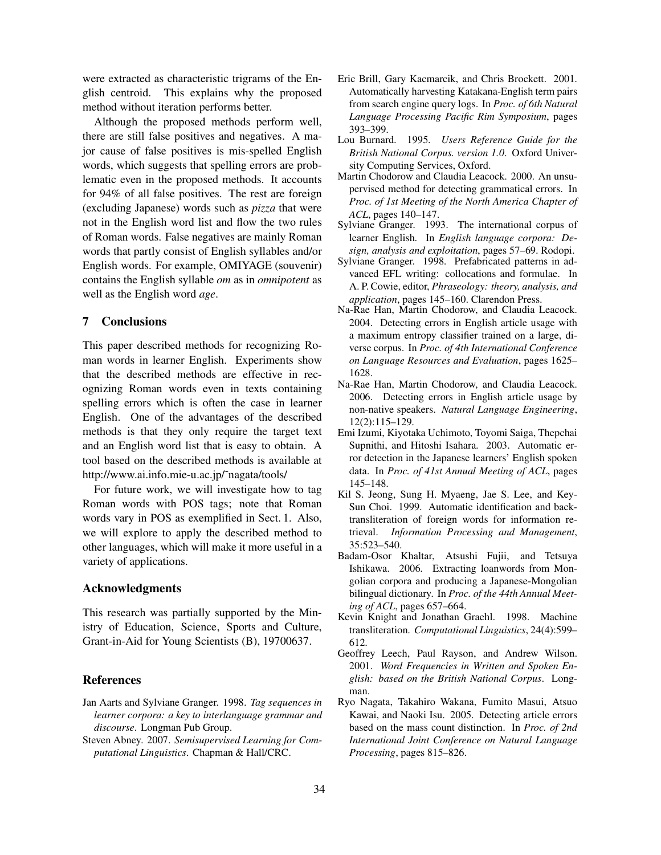were extracted as characteristic trigrams of the English centroid. This explains why the proposed method without iteration performs better.

Although the proposed methods perform well, there are still false positives and negatives. A major cause of false positives is mis-spelled English words, which suggests that spelling errors are problematic even in the proposed methods. It accounts for 94% of all false positives. The rest are foreign (excluding Japanese) words such as *pizza* that were not in the English word list and flow the two rules of Roman words. False negatives are mainly Roman words that partly consist of English syllables and/or English words. For example, OMIYAGE (souvenir) contains the English syllable *om* as in *omnipotent* as well as the English word *age*.

### **7 Conclusions**

This paper described methods for recognizing Roman words in learner English. Experiments show that the described methods are effective in recognizing Roman words even in texts containing spelling errors which is often the case in learner English. One of the advantages of the described methods is that they only require the target text and an English word list that is easy to obtain. A tool based on the described methods is available at http://www.ai.info.mie-u.ac.jp/˜nagata/tools/

For future work, we will investigate how to tag Roman words with POS tags; note that Roman words vary in POS as exemplified in Sect. 1. Also, we will explore to apply the described method to other languages, which will make it more useful in a variety of applications.

### **Acknowledgments**

This research was partially supported by the Ministry of Education, Science, Sports and Culture, Grant-in-Aid for Young Scientists (B), 19700637.

#### **References**

- Jan Aarts and Sylviane Granger. 1998. *Tag sequences in learner corpora: a key to interlanguage grammar and discourse*. Longman Pub Group.
- Steven Abney. 2007. *Semisupervised Learning for Computational Linguistics*. Chapman & Hall/CRC.
- Eric Brill, Gary Kacmarcik, and Chris Brockett. 2001. Automatically harvesting Katakana-English term pairs from search engine query logs. In *Proc. of 6th Natural Language Processing Pacific Rim Symposium*, pages 393–399.
- Lou Burnard. 1995. *Users Reference Guide for the British National Corpus. version 1.0*. Oxford University Computing Services, Oxford.
- Martin Chodorow and Claudia Leacock. 2000. An unsupervised method for detecting grammatical errors. In *Proc. of 1st Meeting of the North America Chapter of ACL*, pages 140–147.
- Sylviane Granger. 1993. The international corpus of learner English. In *English language corpora: Design, analysis and exploitation*, pages 57–69. Rodopi.
- Sylviane Granger. 1998. Prefabricated patterns in advanced EFL writing: collocations and formulae. In A. P. Cowie, editor, *Phraseology: theory, analysis, and application*, pages 145–160. Clarendon Press.
- Na-Rae Han, Martin Chodorow, and Claudia Leacock. 2004. Detecting errors in English article usage with a maximum entropy classifier trained on a large, diverse corpus. In *Proc. of 4th International Conference on Language Resources and Evaluation*, pages 1625– 1628.
- Na-Rae Han, Martin Chodorow, and Claudia Leacock. 2006. Detecting errors in English article usage by non-native speakers. *Natural Language Engineering*, 12(2):115–129.
- Emi Izumi, Kiyotaka Uchimoto, Toyomi Saiga, Thepchai Supnithi, and Hitoshi Isahara. 2003. Automatic error detection in the Japanese learners' English spoken data. In *Proc. of 41st Annual Meeting of ACL*, pages 145–148.
- Kil S. Jeong, Sung H. Myaeng, Jae S. Lee, and Key-Sun Choi. 1999. Automatic identification and backtransliteration of foreign words for information retrieval. *Information Processing and Management*, 35:523–540.
- Badam-Osor Khaltar, Atsushi Fujii, and Tetsuya Ishikawa. 2006. Extracting loanwords from Mongolian corpora and producing a Japanese-Mongolian bilingual dictionary. In *Proc. of the 44th Annual Meeting of ACL*, pages 657–664.
- Kevin Knight and Jonathan Graehl. 1998. Machine transliteration. *Computational Linguistics*, 24(4):599– 612.
- Geoffrey Leech, Paul Rayson, and Andrew Wilson. 2001. *Word Frequencies in Written and Spoken English: based on the British National Corpus*. Longman.
- Ryo Nagata, Takahiro Wakana, Fumito Masui, Atsuo Kawai, and Naoki Isu. 2005. Detecting article errors based on the mass count distinction. In *Proc. of 2nd International Joint Conference on Natural Language Processing*, pages 815–826.